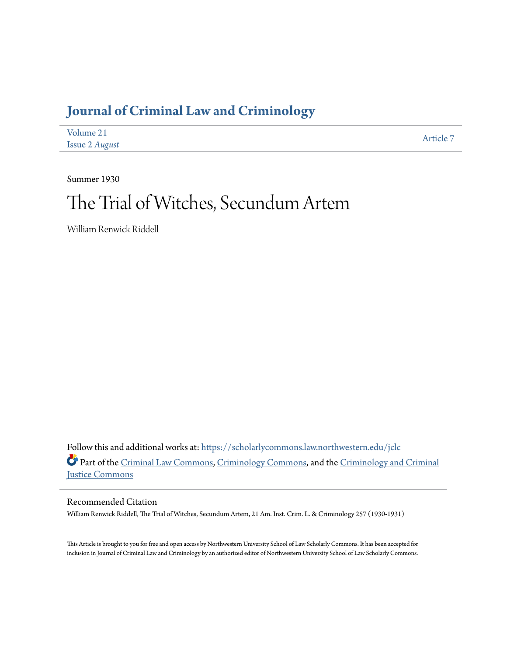## **[Journal of Criminal Law and Criminology](https://scholarlycommons.law.northwestern.edu/jclc?utm_source=scholarlycommons.law.northwestern.edu%2Fjclc%2Fvol21%2Fiss2%2F7&utm_medium=PDF&utm_campaign=PDFCoverPages)**

| Volume 21      | Article 7 |
|----------------|-----------|
| Issue 2 August |           |

Summer 1930

# The Trial of Witches, Secundum Artem

William Renwick Riddell

Follow this and additional works at: [https://scholarlycommons.law.northwestern.edu/jclc](https://scholarlycommons.law.northwestern.edu/jclc?utm_source=scholarlycommons.law.northwestern.edu%2Fjclc%2Fvol21%2Fiss2%2F7&utm_medium=PDF&utm_campaign=PDFCoverPages) Part of the [Criminal Law Commons](http://network.bepress.com/hgg/discipline/912?utm_source=scholarlycommons.law.northwestern.edu%2Fjclc%2Fvol21%2Fiss2%2F7&utm_medium=PDF&utm_campaign=PDFCoverPages), [Criminology Commons](http://network.bepress.com/hgg/discipline/417?utm_source=scholarlycommons.law.northwestern.edu%2Fjclc%2Fvol21%2Fiss2%2F7&utm_medium=PDF&utm_campaign=PDFCoverPages), and the [Criminology and Criminal](http://network.bepress.com/hgg/discipline/367?utm_source=scholarlycommons.law.northwestern.edu%2Fjclc%2Fvol21%2Fiss2%2F7&utm_medium=PDF&utm_campaign=PDFCoverPages) [Justice Commons](http://network.bepress.com/hgg/discipline/367?utm_source=scholarlycommons.law.northwestern.edu%2Fjclc%2Fvol21%2Fiss2%2F7&utm_medium=PDF&utm_campaign=PDFCoverPages)

#### Recommended Citation

William Renwick Riddell, The Trial of Witches, Secundum Artem, 21 Am. Inst. Crim. L. & Criminology 257 (1930-1931)

This Article is brought to you for free and open access by Northwestern University School of Law Scholarly Commons. It has been accepted for inclusion in Journal of Criminal Law and Criminology by an authorized editor of Northwestern University School of Law Scholarly Commons.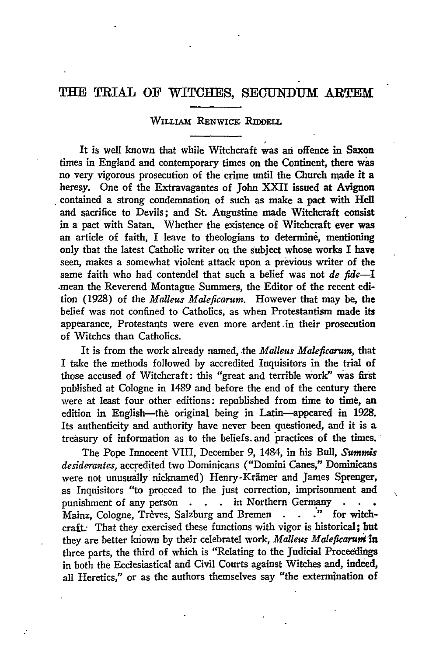### **TEE** TRIAL OF WITCHES, **SEGUNDUM** ARTEM

#### WILLIAM RENWICK RIDDELL

It is well known that while Witchcraft was **an** offence in Saxon times in England and contemporary times on the Continent, there was no very vigorous prosecution of the crime until the Church made it a heresy. One of the Extravagantes of John XXII issued at Avignon contained a strong condemnation of such as make a pact with Hell and sacrifice to Devils; and St. Augustine made Witchcraft consist in a pact with Satan. Whether the existence of Witchcraft ever was an article of faith, I leave to theologians to determine, mentioning only that the latest Catholic writer on the subject whose works I have seen, makes a somewhat violent attack upon a previous writer of the same faith who had contendel that such a belief was not *de fide-I* -mean the Reverend Montague Summers, the Editor of the recent edition (1928) of the *Malleus Maleficarum.* However that may be, the belief was not confined to Catholics, as when Protestantism made its appearance, Protestants were even more ardent.in their prosecution of Witches than Catholics.

It is from the work already named, the *Malleus Maleficarum*, that I take the methods followed by accredited Inquisitors in the trial of those accused of Witchcraft: this "great and terrible Work" was first published at Cologne in 1489 and before the end of the century there were at least four other editions: republished from time to time, an edition in English-the original being in Latin-appeared in **1928.** Its authenticity and authority have never been questioned, and it is a treasury of information as to the beliefs, and practices of the times.

The Pope Innocent VIII, December 9, 1484, in his Bull, *Summis desiderantes,* accredited two Dominicans ("Domini Canes," Dominicans were not unusually nicknamed) Henry-Krämer and James Sprenger, as Inquisitors "to proceed to the just correction, imprisonment and punishment of any person **. . .** in Northern Germany .<br>Mainz Cologne, Trèves, Salzburg and Bremen **.** . . ." for Mainz, Cologne, Trèves, Salzburg and Bremen . . . " for witchcraft. That they exercised these functions with vigor is historical; but they are better known **by** their celebratel work, *Malleus Maleficaruni'in* three parts, the third of which is "Relating to the Judicial Proceddings in both the Ecclesiastical and Civil Courts against Witches and, indeed, all Heretics," or as the authors themselves say "the extermination of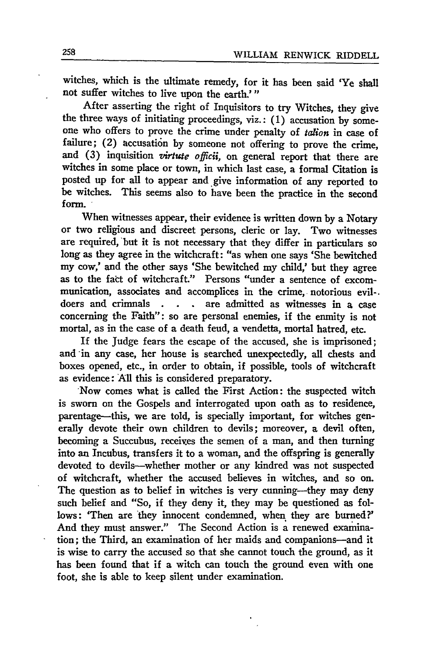witches, which is the ultimate remedy, for it has been said 'Ye shall not suffer witches to live upon the earth.'"

After asserting the right of Inquisitors to try Witches, they give the three ways of initiating proceedings, viz.: (1) accusation by someone who offers to prove the crime under penalty of *tauion* in case of failure; (2) accusation by someone not offering to prove the crime, and (3) inquisition *virtute officii*, on general report that there are witches in some place or town, in which last case, a formal Citation is posted up for all to appear and give information of any reported to be witches. This seems also to have been the practice in the second form.

When witnesses appear, their evidence is written down by a Notary or two religious and discreet persons, cleric or lay. Two witnesses are required, but it is not necessary that they differ in particulars so long as they agree in the witchcraft: "as when one says 'She bewitched my cow,' and the other says 'She bewitched my child,' but they agree as to the fact of witchcraft." Persons "under a sentence of excommunication, associates and accomplices in the crime, notorious evil-. doers and crinnals **. . .** are admitted as witnesses in a case concerning the Faith": so are personal enemies, if the enmity is not mortal, as in the case of a death feud, a vendetta, mortal hatred, etc.

If the Judge fears the escape of the accused, she is imprisoned; and **-in** any case, her house is searched unexpectedly, all chests and boxes opened, etc., in order to obtain, if possible, tools of witchcraft as evidence: **All** this is considered preparatory.

Now comes what is called the First Action: the suspected witch is sworn on the Gospels and interrogated upon oath as to residence, parentage-this, we are told, is specially important, for witches generally devote their own children to devils; moreover, a devil often, becoming a Succubus, receives the semen of a man, and then turning into an Incubus, transfers it to a woman, and the offspring is generally devoted to devils-whether mother or any kindred was not suspected of witchcraft, whether the accused believes in witches, and so on. The question as to belief in witches is very cunning--they may deny such belief and "So, if they deny it, they may be questioned as follows: 'Then are they innocent condemned, when they are burned?' And they must answer." The Second Action is a renewed examination; the Third, an examination of her maids and companions-and it is wise to carry the accused so that she cannot touch the ground, as it has been found that if a witch can touch the ground even with one foot, she is able to keep silent under examination.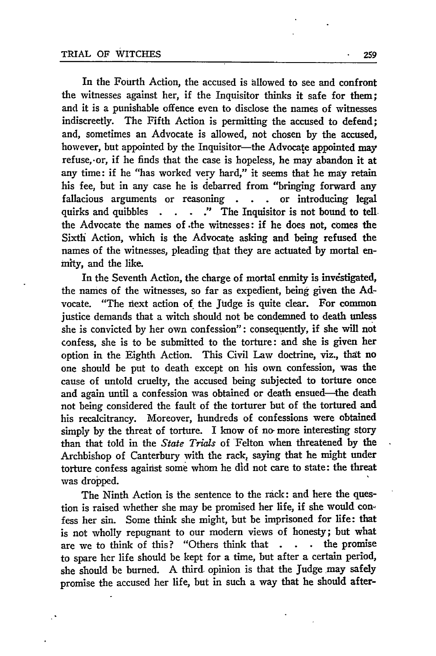In the Fourth Action, the accused is allowed to see and confront the witnesses against her, if the Inquisitor thinks it safe for them; and it is a punishable offence even to disclose the names of witnesses indiscreetly. The Fifth Action is permitting the accused to defend; and, sometimes an Advocate is allowed, not chosen by the accused, however, but appointed by the Inquisitor—the Advocate appointed may refuse, or, if he finds that the case is hopeless, he may abandon it at any time: if he "has worked very hard," it seems that he may retain his fee, but in any case he is debarred from "bringing forward any fallacious arguments or reasoning **. .** or introducing legal quirks and quibbles **.** . **."** The Inquisitor is not bound to tellthe Advocate the names of .the witnesses: if he does not, comes the Sixth Action, which is the Advocate asking and being refused the names of the witnesses, pleading that they are actuated by mortal enmity, and the like.

In the Seventh Action, the charge of mortal enmity is investigated, the names of the witnesses, so far as expedient, being given the Advocate. "The next action of the Judge is quite clear. For common justice demands that a witch should not be condemned to death unless she is convicted by her own confession": consequently, if she will not confess, she is to be submitted to the torture: and she is given her option in the Eighth Action. This Civil Law doctrine, viz., that no one should be put to death except on his own confession, was the cause of untold cruelty, the accused being subjected to torture once and again until a confession was obtained or death ensued--the death not being considered the fault of the torturer but of the tortured and his recalcitrancy. Moreover, hundreds of confessions were obtained simply by the threat of torture. I know of no more interesting story than that told in the *State Trials* of Felton when threatened by the Archbishop of Canterbury with the rack, saying that he might under torture confess against some whom he did not care to state: the threat was dropped.

The Ninth Action is the sentence to the rack: and here the question is raised whether she may be promised her life, if she would confess her sin. Some think she might, but be imprisoned for life: that is not wholly repugnant to our modern views of honesty; but what are we to think of this? "Others think that **. . .** the promise to spare her life should be kept for a time, but after a certain period, she should be burned. A third. opinion is that the Judge may safely promise the accused her life, but in such a way that he should after